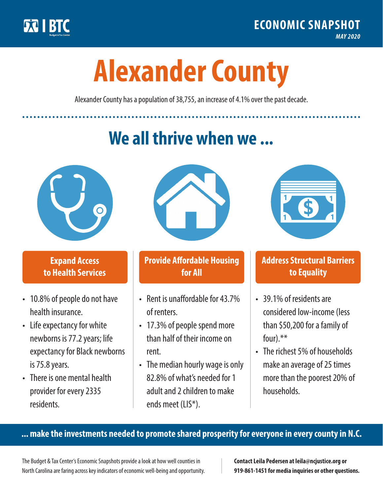

**1**

# **Alexander County**

Alexander County has a population of 38,755, an increase of 4.1% over the past decade.

# **We all thrive when we ...**



**\$ <sup>1</sup>**

**\$ <sup>1</sup>**

## **Expand Access to Health Services**

- 10.8% of people do not have health insurance.
- Life expectancy for white newborns is 77.2years; life expectancy for Black newborns is 75.8years.
- There is one mental health provider for every 2335 residents.



## **Provide Affordable Housing for All**

- Rent is unaffordable for 43.7% of renters.
- 17.3% of people spend more than half of their income on rent.
- The median hourly wage is only 82.8% of what's needed for 1 adult and 2 children to make ends meet (LIS\*).



## **Address Structural Barriers to Equality**

- 39.1% of residents are considered low-income (less than \$50,200 for a family of four).\*\*
- The richest 5% of households make an average of 25 times more than the poorest 20% of households.

#### **... make the investments needed to promote shared prosperity for everyone in every county in N.C.**

The Budget & Tax Center's Economic Snapshots provide a look at how well counties in North Carolina are faring across key indicators of economic well-being and opportunity.